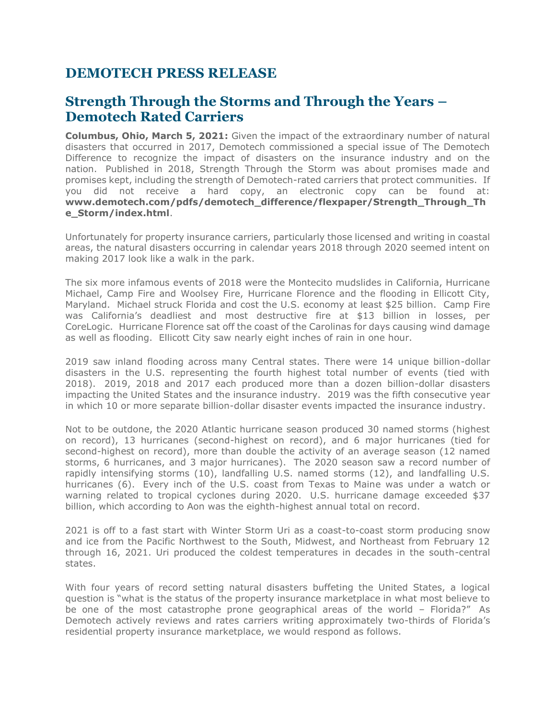## **DEMOTECH PRESS RELEASE**

## **Strength Through the Storms and Through the Years – Demotech Rated Carriers**

**Columbus, Ohio, March 5, 2021:** Given the impact of the extraordinary number of natural disasters that occurred in 2017, Demotech commissioned a special issue of The Demotech Difference to recognize the impact of disasters on the insurance industry and on the nation. Published in 2018, Strength Through the Storm was about promises made and promises kept, including the strength of Demotech-rated carriers that protect communities. If you did not receive a hard copy, an electronic copy can be found at: **[www.demotech.com/pdfs/demotech\\_difference/flexpaper/Strength\\_Through\\_Th](http://www.demotech.com/pdfs/demotech_difference/flexpaper/Strength_Through_The_Storm/index.html) [e\\_Storm/index.html](http://www.demotech.com/pdfs/demotech_difference/flexpaper/Strength_Through_The_Storm/index.html)**.

Unfortunately for property insurance carriers, particularly those licensed and writing in coastal areas, the natural disasters occurring in calendar years 2018 through 2020 seemed intent on making 2017 look like a walk in the park.

The six more infamous events of 2018 were the Montecito mudslides in California, Hurricane Michael, Camp Fire and Woolsey Fire, Hurricane Florence and the flooding in Ellicott City, Maryland. Michael struck Florida and cost the U.S. economy at least \$25 billion. Camp Fire was California's deadliest and most destructive fire at \$13 billion in losses, per CoreLogic. Hurricane Florence sat off the coast of the Carolinas for days causing wind damage as well as flooding. Ellicott City saw nearly eight inches of rain in one hour.

2019 saw inland flooding across many Central states. There were 14 unique billion-dollar disasters in the U.S. representing the fourth highest total number of events (tied with 2018). 2019, 2018 and 2017 each produced more than a dozen billion-dollar disasters impacting the United States and the insurance industry. 2019 was the fifth consecutive year in which 10 or more separate billion-dollar disaster events impacted the insurance industry.

Not to be outdone, the 2020 Atlantic hurricane season produced 30 named storms (highest on record), 13 hurricanes (second-highest on record), and 6 major hurricanes (tied for second-highest on record), more than double the activity of an average season (12 named storms, 6 hurricanes, and 3 major hurricanes). The 2020 season saw a record number of rapidly intensifying storms (10), landfalling U.S. named storms (12), and landfalling U.S. hurricanes (6). Every inch of the U.S. coast from Texas to Maine was under a watch or warning related to tropical cyclones during 2020. U.S. hurricane damage exceeded \$37 billion, which according to Aon was the eighth-highest annual total on record.

2021 is off to a fast start with Winter Storm Uri as a coast-to-coast storm producing snow and ice from the Pacific Northwest to the South, Midwest, and Northeast from February 12 through 16, 2021. Uri produced the coldest temperatures in decades in the south-central states.

With four years of record setting natural disasters buffeting the United States, a logical question is "what is the status of the property insurance marketplace in what most believe to be one of the most catastrophe prone geographical areas of the world – Florida?" As Demotech actively reviews and rates carriers writing approximately two-thirds of Florida's residential property insurance marketplace, we would respond as follows.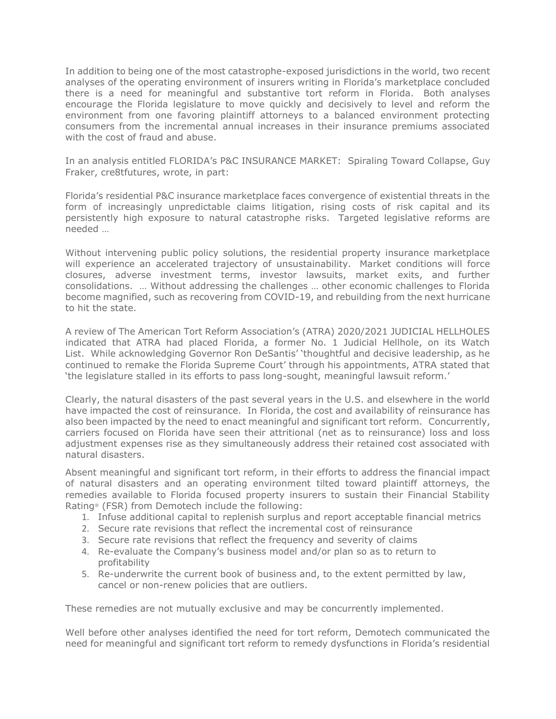In addition to being one of the most catastrophe-exposed jurisdictions in the world, two recent analyses of the operating environment of insurers writing in Florida's marketplace concluded there is a need for meaningful and substantive tort reform in Florida. Both analyses encourage the Florida legislature to move quickly and decisively to level and reform the environment from one favoring plaintiff attorneys to a balanced environment protecting consumers from the incremental annual increases in their insurance premiums associated with the cost of fraud and abuse.

In an analysis entitled FLORIDA's P&C INSURANCE MARKET: Spiraling Toward Collapse, Guy Fraker, cre8tfutures, wrote, in part:

Florida's residential P&C insurance marketplace faces convergence of existential threats in the form of increasingly unpredictable claims litigation, rising costs of risk capital and its persistently high exposure to natural catastrophe risks. Targeted legislative reforms are needed …

Without intervening public policy solutions, the residential property insurance marketplace will experience an accelerated trajectory of unsustainability. Market conditions will force closures, adverse investment terms, investor lawsuits, market exits, and further consolidations. … Without addressing the challenges … other economic challenges to Florida become magnified, such as recovering from COVID-19, and rebuilding from the next hurricane to hit the state.

A review of The American Tort Reform Association's (ATRA) 2020/2021 JUDICIAL HELLHOLES indicated that ATRA had placed Florida, a former No. 1 Judicial Hellhole, on its Watch List. While acknowledging Governor Ron DeSantis' 'thoughtful and decisive leadership, as he continued to remake the Florida Supreme Court' through his appointments, ATRA stated that 'the legislature stalled in its efforts to pass long-sought, meaningful lawsuit reform.'

Clearly, the natural disasters of the past several years in the U.S. and elsewhere in the world have impacted the cost of reinsurance. In Florida, the cost and availability of reinsurance has also been impacted by the need to enact meaningful and significant tort reform. Concurrently, carriers focused on Florida have seen their attritional (net as to reinsurance) loss and loss adjustment expenses rise as they simultaneously address their retained cost associated with natural disasters.

Absent meaningful and significant tort reform, in their efforts to address the financial impact of natural disasters and an operating environment tilted toward plaintiff attorneys, the remedies available to Florida focused property insurers to sustain their Financial Stability Rating® (FSR) from Demotech include the following:

- 1. Infuse additional capital to replenish surplus and report acceptable financial metrics
- 2. Secure rate revisions that reflect the incremental cost of reinsurance
- 3. Secure rate revisions that reflect the frequency and severity of claims
- 4. Re-evaluate the Company's business model and/or plan so as to return to profitability
- 5. Re-underwrite the current book of business and, to the extent permitted by law, cancel or non-renew policies that are outliers.

These remedies are not mutually exclusive and may be concurrently implemented.

Well before other analyses identified the need for tort reform, Demotech communicated the need for meaningful and significant tort reform to remedy dysfunctions in Florida's residential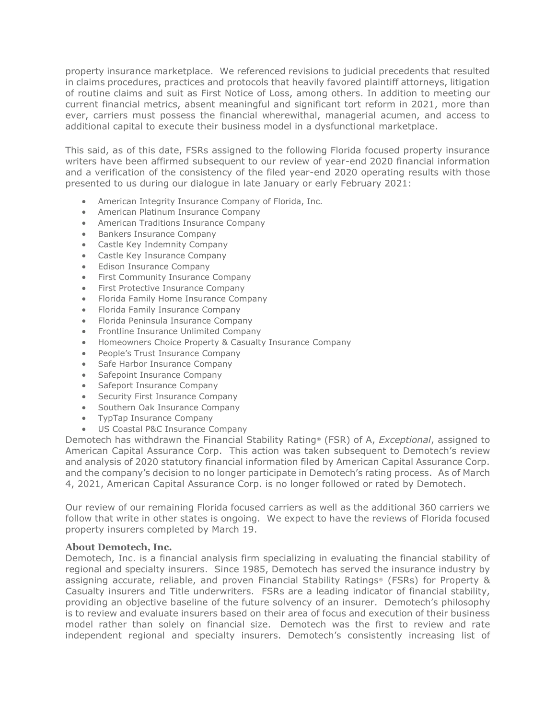property insurance marketplace. We referenced revisions to judicial precedents that resulted in claims procedures, practices and protocols that heavily favored plaintiff attorneys, litigation of routine claims and suit as First Notice of Loss, among others. In addition to meeting our current financial metrics, absent meaningful and significant tort reform in 2021, more than ever, carriers must possess the financial wherewithal, managerial acumen, and access to additional capital to execute their business model in a dysfunctional marketplace.

This said, as of this date, FSRs assigned to the following Florida focused property insurance writers have been affirmed subsequent to our review of year-end 2020 financial information and a verification of the consistency of the filed year-end 2020 operating results with those presented to us during our dialogue in late January or early February 2021:

- American Integrity Insurance Company of Florida, Inc.
- American Platinum Insurance Company
- American Traditions Insurance Company
- Bankers Insurance Company
- Castle Key Indemnity Company
- Castle Key Insurance Company
- Edison Insurance Company
- First Community Insurance Company
- First Protective Insurance Company
- Florida Family Home Insurance Company
- Florida Family Insurance Company
- Florida Peninsula Insurance Company
- Frontline Insurance Unlimited Company
- Homeowners Choice Property & Casualty Insurance Company
- People's Trust Insurance Company
- Safe Harbor Insurance Company
- Safepoint Insurance Company
- Safeport Insurance Company
- Security First Insurance Company
- Southern Oak Insurance Company
- TypTap Insurance Company
- US Coastal P&C Insurance Company

Demotech has withdrawn the Financial Stability Rating® (FSR) of A, *Exceptional*, assigned to American Capital Assurance Corp. This action was taken subsequent to Demotech's review and analysis of 2020 statutory financial information filed by American Capital Assurance Corp. and the company's decision to no longer participate in Demotech's rating process. As of March 4, 2021, American Capital Assurance Corp. is no longer followed or rated by Demotech.

Our review of our remaining Florida focused carriers as well as the additional 360 carriers we follow that write in other states is ongoing. We expect to have the reviews of Florida focused property insurers completed by March 19.

## **About Demotech, Inc.**

Demotech, Inc. is a financial analysis firm specializing in evaluating the financial stability of regional and specialty insurers. Since 1985, Demotech has served the insurance industry by assigning accurate, reliable, and proven Financial Stability Ratings® (FSRs) for Property & Casualty insurers and Title underwriters. FSRs are a leading indicator of financial stability, providing an objective baseline of the future solvency of an insurer. Demotech's philosophy is to review and evaluate insurers based on their area of focus and execution of their business model rather than solely on financial size. Demotech was the first to review and rate independent regional and specialty insurers. Demotech's consistently increasing list of